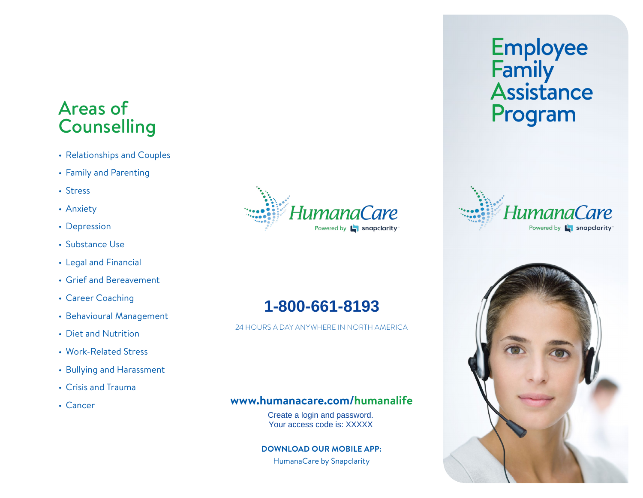## Areas of Program Program Program Program Program Program Program Program Program Program Program Program Program Program Program Program Program Program Program Program Program Program Program Program Program Program Progr

- Relationships and Couples
- Family and Parenting
- Stress
- Anxiety
- Depression
- Substance Use
- Legal and Financial
- Grief and Bereavement
- Career Coaching
- Behavioural Management
- Diet and Nutrition
- Work-Related Stress
- Bullying and Harassment
- Crisis and Trauma
- Cancer



24 HOURS A DAY ANYWHERE IN NORTH AMERICA

#### **www.humanacare.com/humanalife**

Create a login and password. **1-800-661-8193**<br>
PRICANT ANYWHERE IN NORTH A<br> **1000-1000-2000**<br>
Create a login and password.<br>
Your access code is: XXXXX

#### **DOWNLOAD OUR MOBILE APP:**

HumanaCare by Snapclarity

### **Employee** Family **Assistance**

Iumana are Powered by **L** snapclarity